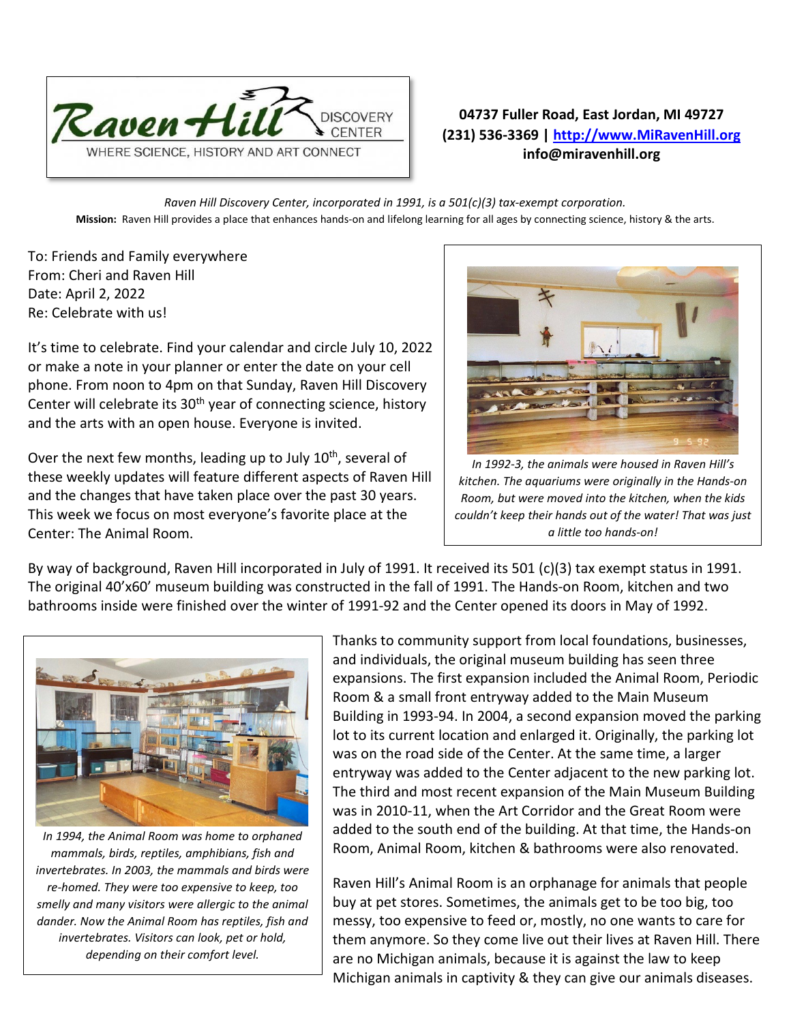

## **04737 Fuller Road, East Jordan, MI 49727 (231) 536-3369 | [http://www.MiRavenHill.org](http://www.miravenhill.org/) info@miravenhill.org**

*Raven Hill Discovery Center, incorporated in 1991, is a 501(c)(3) tax-exempt corporation.* **Mission:** Raven Hill provides a place that enhances hands-on and lifelong learning for all ages by connecting science, history & the arts.

To: Friends and Family everywhere From: Cheri and Raven Hill Date: April 2, 2022 Re: Celebrate with us!

It's time to celebrate. Find your calendar and circle July 10, 2022 or make a note in your planner or enter the date on your cell phone. From noon to 4pm on that Sunday, Raven Hill Discovery Center will celebrate its 30<sup>th</sup> year of connecting science, history and the arts with an open house. Everyone is invited.

Over the next few months, leading up to July 10<sup>th</sup>, several of these weekly updates will feature different aspects of Raven Hill and the changes that have taken place over the past 30 years. This week we focus on most everyone's favorite place at the Center: The Animal Room.



*In 1992-3, the animals were housed in Raven Hill's kitchen. The aquariums were originally in the Hands-on Room, but were moved into the kitchen, when the kids couldn't keep their hands out of the water! That was just a little too hands-on!* 

By way of background, Raven Hill incorporated in July of 1991. It received its 501 (c)(3) tax exempt status in 1991. The original 40'x60' museum building was constructed in the fall of 1991. The Hands-on Room, kitchen and two bathrooms inside were finished over the winter of 1991-92 and the Center opened its doors in May of 1992.



*In 1994, the Animal Room was home to orphaned mammals, birds, reptiles, amphibians, fish and invertebrates. In 2003, the mammals and birds were re-homed. They were too expensive to keep, too smelly and many visitors were allergic to the animal dander. Now the Animal Room has reptiles, fish and invertebrates. Visitors can look, pet or hold, depending on their comfort level.* 

Thanks to community support from local foundations, businesses, and individuals, the original museum building has seen three expansions. The first expansion included the Animal Room, Periodic Room & a small front entryway added to the Main Museum Building in 1993-94. In 2004, a second expansion moved the parking lot to its current location and enlarged it. Originally, the parking lot was on the road side of the Center. At the same time, a larger entryway was added to the Center adjacent to the new parking lot. The third and most recent expansion of the Main Museum Building was in 2010-11, when the Art Corridor and the Great Room were added to the south end of the building. At that time, the Hands-on Room, Animal Room, kitchen & bathrooms were also renovated.

Raven Hill's Animal Room is an orphanage for animals that people buy at pet stores. Sometimes, the animals get to be too big, too messy, too expensive to feed or, mostly, no one wants to care for them anymore. So they come live out their lives at Raven Hill. There are no Michigan animals, because it is against the law to keep Michigan animals in captivity & they can give our animals diseases.